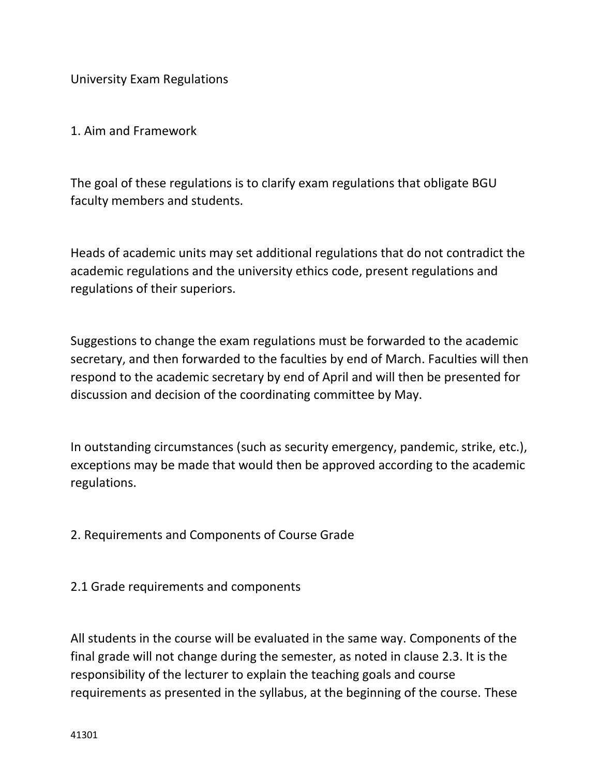University Exam Regulations

1. Aim and Framework

The goal of these regulations is to clarify exam regulations that obligate BGU faculty members and students.

Heads of academic units may set additional regulations that do not contradict the academic regulations and the university ethics code, present regulations and regulations of their superiors.

Suggestions to change the exam regulations must be forwarded to the academic secretary, and then forwarded to the faculties by end of March. Faculties will then respond to the academic secretary by end of April and will then be presented for discussion and decision of the coordinating committee by May.

In outstanding circumstances (such as security emergency, pandemic, strike, etc.), exceptions may be made that would then be approved according to the academic regulations.

2. Requirements and Components of Course Grade

2.1 Grade requirements and components

All students in the course will be evaluated in the same way. Components of the final grade will not change during the semester, as noted in clause 2.3. It is the responsibility of the lecturer to explain the teaching goals and course requirements as presented in the syllabus, at the beginning of the course. These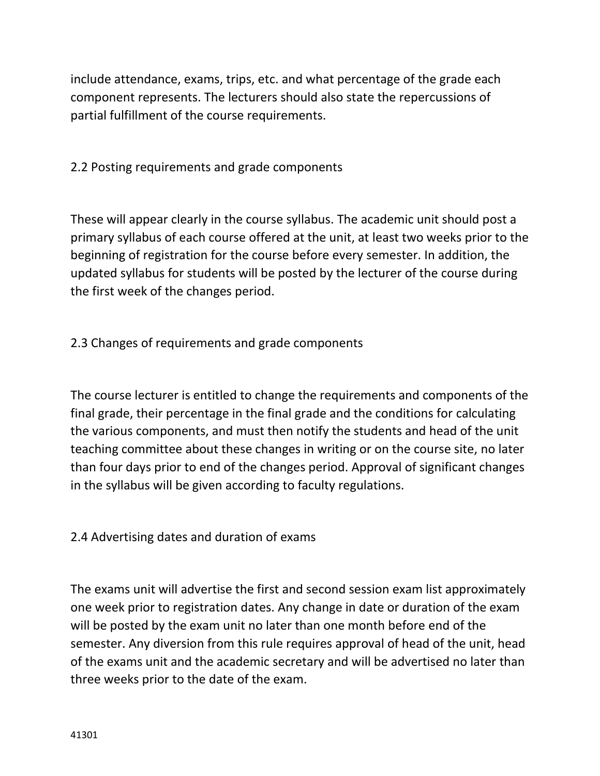include attendance, exams, trips, etc. and what percentage of the grade each component represents. The lecturers should also state the repercussions of partial fulfillment of the course requirements.

2.2 Posting requirements and grade components

These will appear clearly in the course syllabus. The academic unit should post a primary syllabus of each course offered at the unit, at least two weeks prior to the beginning of registration for the course before every semester. In addition, the updated syllabus for students will be posted by the lecturer of the course during the first week of the changes period.

2.3 Changes of requirements and grade components

The course lecturer is entitled to change the requirements and components of the final grade, their percentage in the final grade and the conditions for calculating the various components, and must then notify the students and head of the unit teaching committee about these changes in writing or on the course site, no later than four days prior to end of the changes period. Approval of significant changes in the syllabus will be given according to faculty regulations.

2.4 Advertising dates and duration of exams

The exams unit will advertise the first and second session exam list approximately one week prior to registration dates. Any change in date or duration of the exam will be posted by the exam unit no later than one month before end of the semester. Any diversion from this rule requires approval of head of the unit, head of the exams unit and the academic secretary and will be advertised no later than three weeks prior to the date of the exam.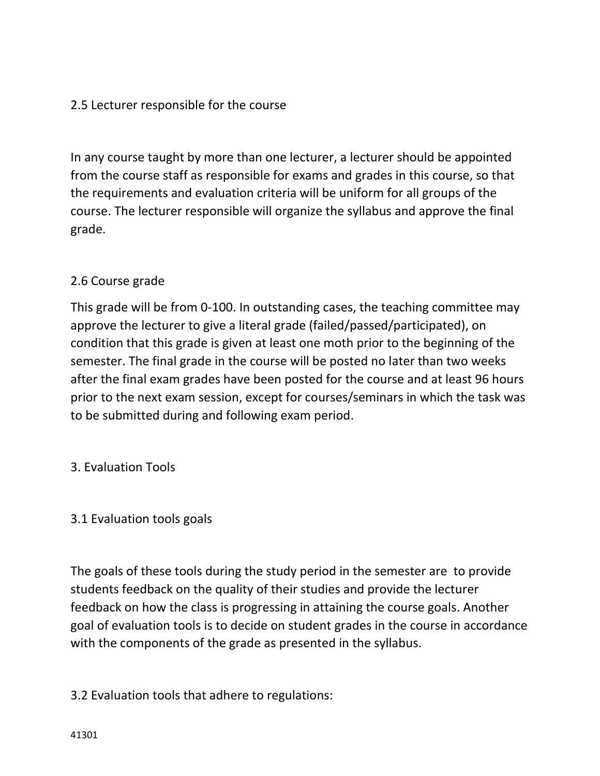# 2.5 Lecturer responsible for the course

In any course taught by more than one lecturer, a lecturer should be appointed from the course staff as responsible for exams and grades in this course, so that the requirements and evaluation criteria will be uniform for all groups of the course. The lecturer responsible will organize the syllabus and approve the final grade.

# 2.6 Course grade

This grade will be from 0-100. In outstanding cases, the teaching committee may approve the lecturer to give a literal grade (failed/passed/participated), on condition that this grade is given at least one moth prior to the beginning of the semester. The final grade in the course will be posted no later than two weeks after the final exam grades have been posted for the course and at least 96 hours prior to the next exam session, except for courses/seminars in which the task was to be submitted during and following exam period.

3. Evaluation Tools

# 3.1 Evaluation tools goals

The goals of these tools during the study period in the semester are to provide students feedback on the quality of their studies and provide the lecturer feedback on how the class is progressing in attaining the course goals. Another goal of evaluation tools is to decide on student grades in the course in accordance with the components of the grade as presented in the syllabus.

# 3.2 Evaluation tools that adhere to regulations: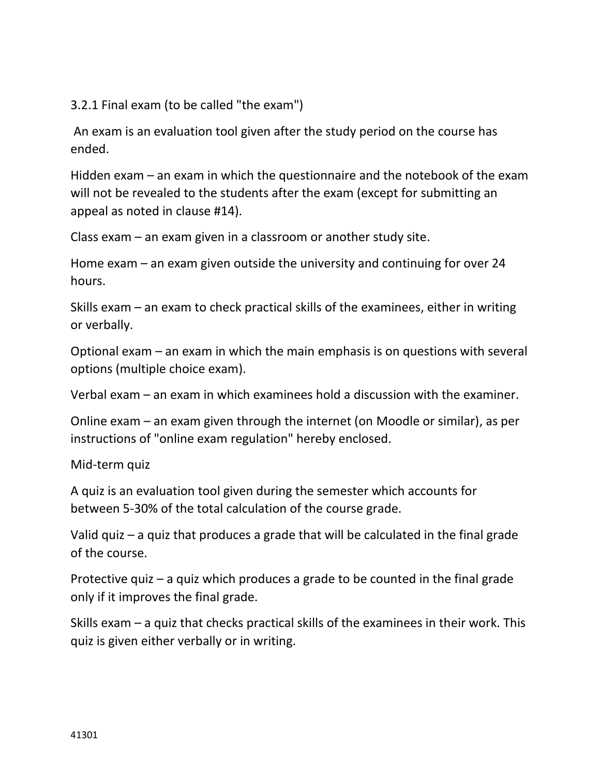3.2.1 Final exam (to be called "the exam")

An exam is an evaluation tool given after the study period on the course has ended.

Hidden exam – an exam in which the questionnaire and the notebook of the exam will not be revealed to the students after the exam (except for submitting an appeal as noted in clause #14).

Class exam – an exam given in a classroom or another study site.

Home exam – an exam given outside the university and continuing for over 24 hours.

Skills exam – an exam to check practical skills of the examinees, either in writing or verbally.

Optional exam – an exam in which the main emphasis is on questions with several options (multiple choice exam).

Verbal exam – an exam in which examinees hold a discussion with the examiner.

Online exam – an exam given through the internet (on Moodle or similar), as per instructions of "online exam regulation" hereby enclosed.

Mid-term quiz

A quiz is an evaluation tool given during the semester which accounts for between 5-30% of the total calculation of the course grade.

Valid quiz – a quiz that produces a grade that will be calculated in the final grade of the course.

Protective quiz – a quiz which produces a grade to be counted in the final grade only if it improves the final grade.

Skills exam – a quiz that checks practical skills of the examinees in their work. This quiz is given either verbally or in writing.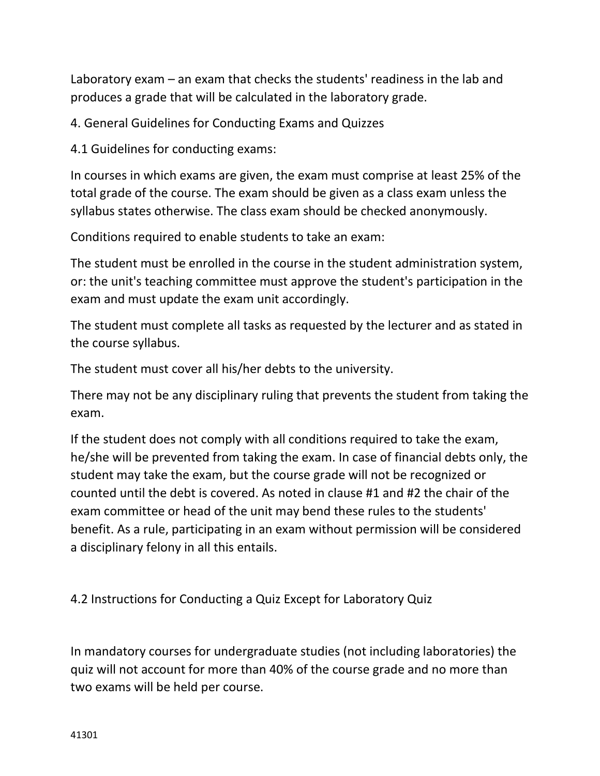Laboratory exam – an exam that checks the students' readiness in the lab and produces a grade that will be calculated in the laboratory grade.

4. General Guidelines for Conducting Exams and Quizzes

4.1 Guidelines for conducting exams:

In courses in which exams are given, the exam must comprise at least 25% of the total grade of the course. The exam should be given as a class exam unless the syllabus states otherwise. The class exam should be checked anonymously.

Conditions required to enable students to take an exam:

The student must be enrolled in the course in the student administration system, or: the unit's teaching committee must approve the student's participation in the exam and must update the exam unit accordingly.

The student must complete all tasks as requested by the lecturer and as stated in the course syllabus.

The student must cover all his/her debts to the university.

There may not be any disciplinary ruling that prevents the student from taking the exam.

If the student does not comply with all conditions required to take the exam, he/she will be prevented from taking the exam. In case of financial debts only, the student may take the exam, but the course grade will not be recognized or counted until the debt is covered. As noted in clause #1 and #2 the chair of the exam committee or head of the unit may bend these rules to the students' benefit. As a rule, participating in an exam without permission will be considered a disciplinary felony in all this entails.

4.2 Instructions for Conducting a Quiz Except for Laboratory Quiz

In mandatory courses for undergraduate studies (not including laboratories) the quiz will not account for more than 40% of the course grade and no more than two exams will be held per course.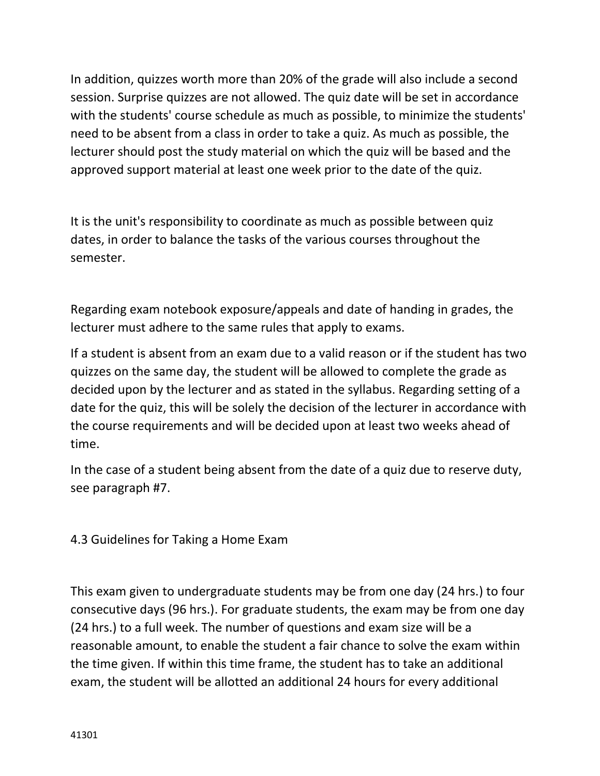In addition, quizzes worth more than 20% of the grade will also include a second session. Surprise quizzes are not allowed. The quiz date will be set in accordance with the students' course schedule as much as possible, to minimize the students' need to be absent from a class in order to take a quiz. As much as possible, the lecturer should post the study material on which the quiz will be based and the approved support material at least one week prior to the date of the quiz.

It is the unit's responsibility to coordinate as much as possible between quiz dates, in order to balance the tasks of the various courses throughout the semester.

Regarding exam notebook exposure/appeals and date of handing in grades, the lecturer must adhere to the same rules that apply to exams.

If a student is absent from an exam due to a valid reason or if the student has two quizzes on the same day, the student will be allowed to complete the grade as decided upon by the lecturer and as stated in the syllabus. Regarding setting of a date for the quiz, this will be solely the decision of the lecturer in accordance with the course requirements and will be decided upon at least two weeks ahead of time.

In the case of a student being absent from the date of a quiz due to reserve duty, see paragraph #7.

4.3 Guidelines for Taking a Home Exam

This exam given to undergraduate students may be from one day (24 hrs.) to four consecutive days (96 hrs.). For graduate students, the exam may be from one day (24 hrs.) to a full week. The number of questions and exam size will be a reasonable amount, to enable the student a fair chance to solve the exam within the time given. If within this time frame, the student has to take an additional exam, the student will be allotted an additional 24 hours for every additional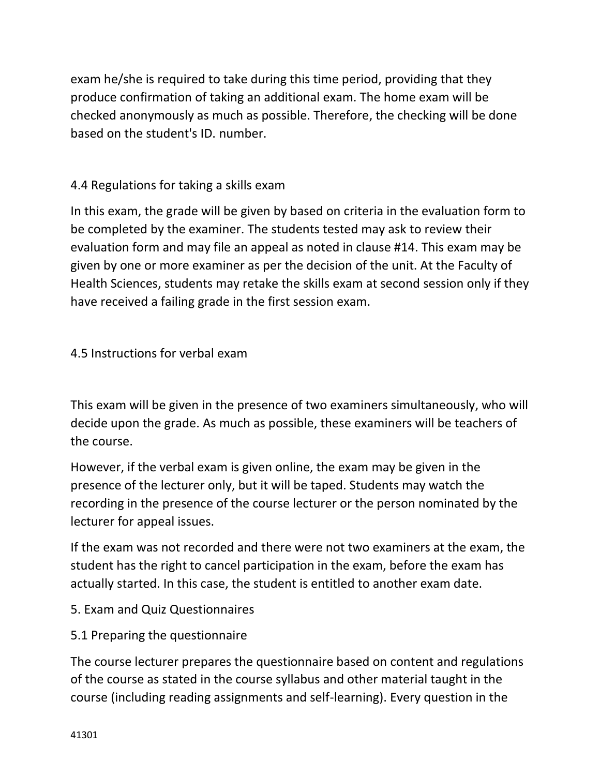exam he/she is required to take during this time period, providing that they produce confirmation of taking an additional exam. The home exam will be checked anonymously as much as possible. Therefore, the checking will be done based on the student's ID. number.

# 4.4 Regulations for taking a skills exam

In this exam, the grade will be given by based on criteria in the evaluation form to be completed by the examiner. The students tested may ask to review their evaluation form and may file an appeal as noted in clause #14. This exam may be given by one or more examiner as per the decision of the unit. At the Faculty of Health Sciences, students may retake the skills exam at second session only if they have received a failing grade in the first session exam.

# 4.5 Instructions for verbal exam

This exam will be given in the presence of two examiners simultaneously, who will decide upon the grade. As much as possible, these examiners will be teachers of the course.

However, if the verbal exam is given online, the exam may be given in the presence of the lecturer only, but it will be taped. Students may watch the recording in the presence of the course lecturer or the person nominated by the lecturer for appeal issues.

If the exam was not recorded and there were not two examiners at the exam, the student has the right to cancel participation in the exam, before the exam has actually started. In this case, the student is entitled to another exam date.

- 5. Exam and Quiz Questionnaires
- 5.1 Preparing the questionnaire

The course lecturer prepares the questionnaire based on content and regulations of the course as stated in the course syllabus and other material taught in the course (including reading assignments and self-learning). Every question in the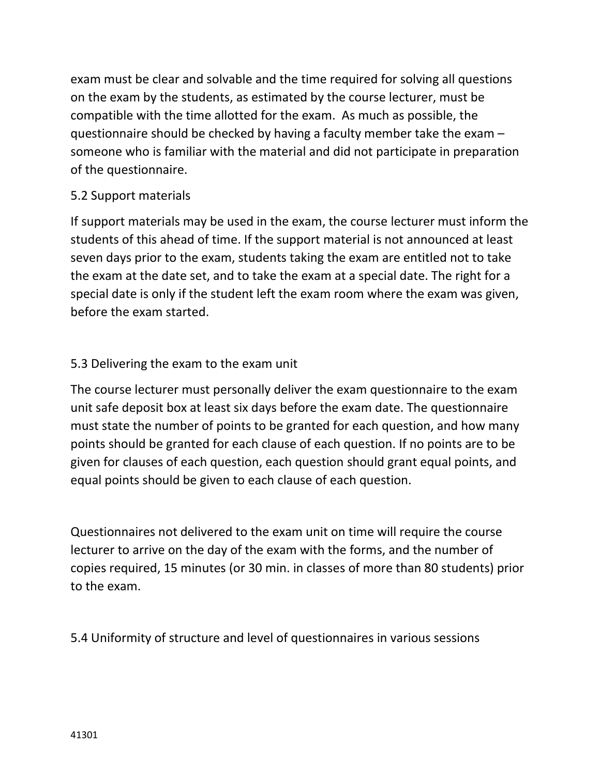exam must be clear and solvable and the time required for solving all questions on the exam by the students, as estimated by the course lecturer, must be compatible with the time allotted for the exam. As much as possible, the questionnaire should be checked by having a faculty member take the exam – someone who is familiar with the material and did not participate in preparation of the questionnaire.

### 5.2 Support materials

If support materials may be used in the exam, the course lecturer must inform the students of this ahead of time. If the support material is not announced at least seven days prior to the exam, students taking the exam are entitled not to take the exam at the date set, and to take the exam at a special date. The right for a special date is only if the student left the exam room where the exam was given, before the exam started.

### 5.3 Delivering the exam to the exam unit

The course lecturer must personally deliver the exam questionnaire to the exam unit safe deposit box at least six days before the exam date. The questionnaire must state the number of points to be granted for each question, and how many points should be granted for each clause of each question. If no points are to be given for clauses of each question, each question should grant equal points, and equal points should be given to each clause of each question.

Questionnaires not delivered to the exam unit on time will require the course lecturer to arrive on the day of the exam with the forms, and the number of copies required, 15 minutes (or 30 min. in classes of more than 80 students) prior to the exam.

5.4 Uniformity of structure and level of questionnaires in various sessions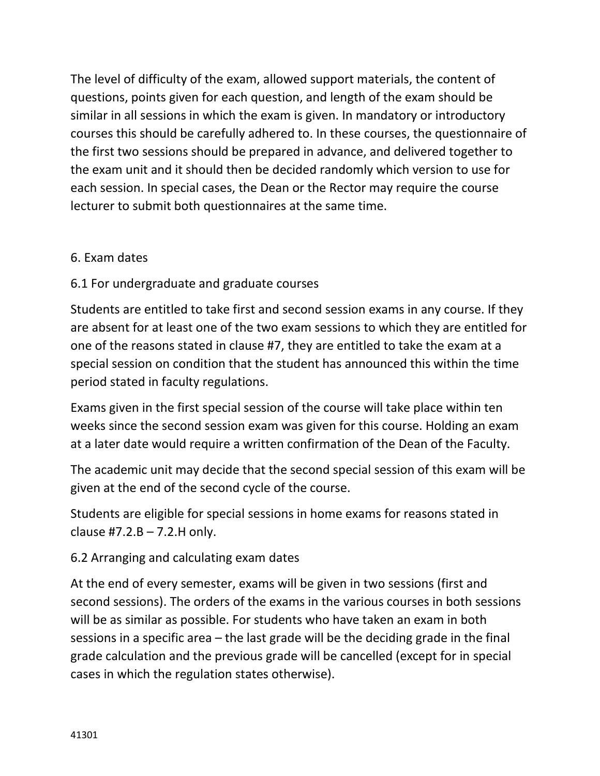The level of difficulty of the exam, allowed support materials, the content of questions, points given for each question, and length of the exam should be similar in all sessions in which the exam is given. In mandatory or introductory courses this should be carefully adhered to. In these courses, the questionnaire of the first two sessions should be prepared in advance, and delivered together to the exam unit and it should then be decided randomly which version to use for each session. In special cases, the Dean or the Rector may require the course lecturer to submit both questionnaires at the same time.

# 6. Exam dates

# 6.1 For undergraduate and graduate courses

Students are entitled to take first and second session exams in any course. If they are absent for at least one of the two exam sessions to which they are entitled for one of the reasons stated in clause #7, they are entitled to take the exam at a special session on condition that the student has announced this within the time period stated in faculty regulations.

Exams given in the first special session of the course will take place within ten weeks since the second session exam was given for this course. Holding an exam at a later date would require a written confirmation of the Dean of the Faculty.

The academic unit may decide that the second special session of this exam will be given at the end of the second cycle of the course.

Students are eligible for special sessions in home exams for reasons stated in clause  $#7.2.B - 7.2.H$  only.

# 6.2 Arranging and calculating exam dates

At the end of every semester, exams will be given in two sessions (first and second sessions). The orders of the exams in the various courses in both sessions will be as similar as possible. For students who have taken an exam in both sessions in a specific area – the last grade will be the deciding grade in the final grade calculation and the previous grade will be cancelled (except for in special cases in which the regulation states otherwise).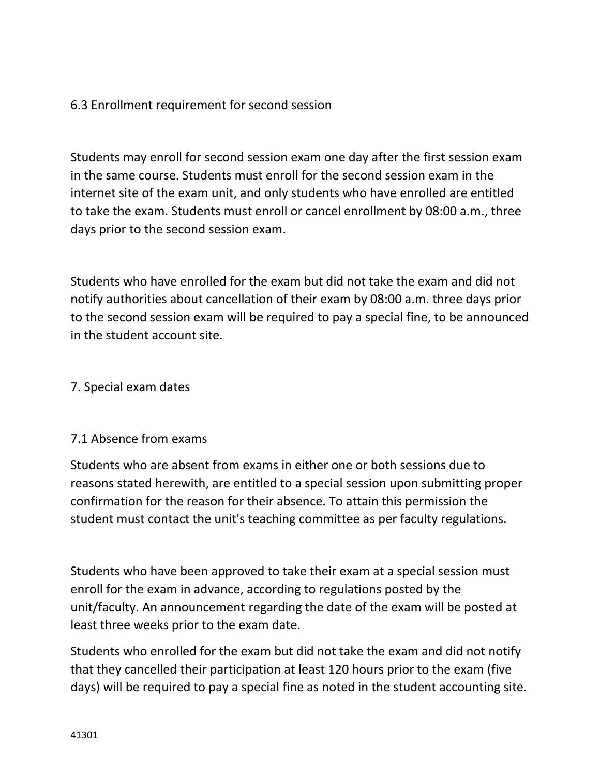# 6.3 Enrollment requirement for second session

Students may enroll for second session exam one day after the first session exam in the same course. Students must enroll for the second session exam in the internet site of the exam unit, and only students who have enrolled are entitled to take the exam. Students must enroll or cancel enrollment by 08:00 a.m., three days prior to the second session exam.

Students who have enrolled for the exam but did not take the exam and did not notify authorities about cancellation of their exam by 08:00 a.m. three days prior to the second session exam will be required to pay a special fine, to be announced in the student account site.

### 7. Special exam dates

#### 7.1 Absence from exams

Students who are absent from exams in either one or both sessions due to reasons stated herewith, are entitled to a special session upon submitting proper confirmation for the reason for their absence. To attain this permission the student must contact the unit's teaching committee as per faculty regulations.

Students who have been approved to take their exam at a special session must enroll for the exam in advance, according to regulations posted by the unit/faculty. An announcement regarding the date of the exam will be posted at least three weeks prior to the exam date.

Students who enrolled for the exam but did not take the exam and did not notify that they cancelled their participation at least 120 hours prior to the exam (five days) will be required to pay a special fine as noted in the student accounting site.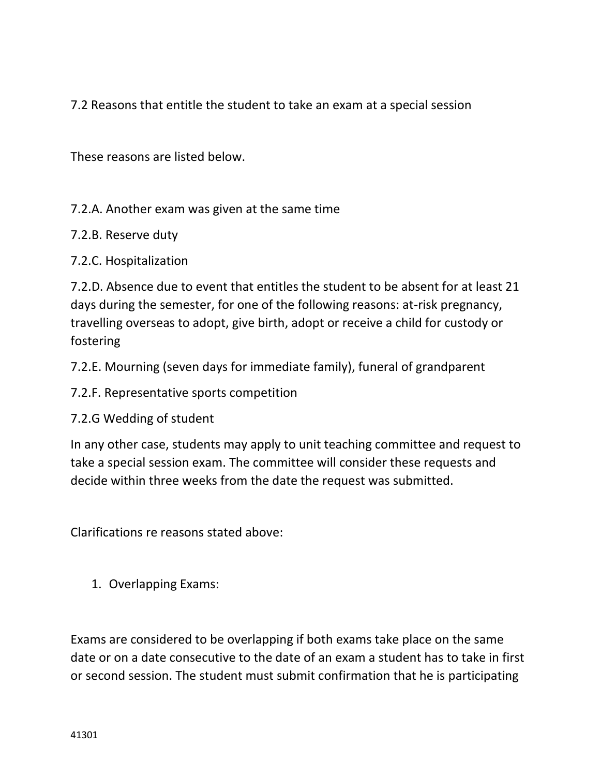7.2 Reasons that entitle the student to take an exam at a special session

These reasons are listed below.

7.2.A. Another exam was given at the same time

- 7.2.B. Reserve duty
- 7.2.C. Hospitalization

7.2.D. Absence due to event that entitles the student to be absent for at least 21 days during the semester, for one of the following reasons: at-risk pregnancy, travelling overseas to adopt, give birth, adopt or receive a child for custody or fostering

7.2.E. Mourning (seven days for immediate family), funeral of grandparent

7.2.F. Representative sports competition

7.2.G Wedding of student

In any other case, students may apply to unit teaching committee and request to take a special session exam. The committee will consider these requests and decide within three weeks from the date the request was submitted.

Clarifications re reasons stated above:

1. Overlapping Exams:

Exams are considered to be overlapping if both exams take place on the same date or on a date consecutive to the date of an exam a student has to take in first or second session. The student must submit confirmation that he is participating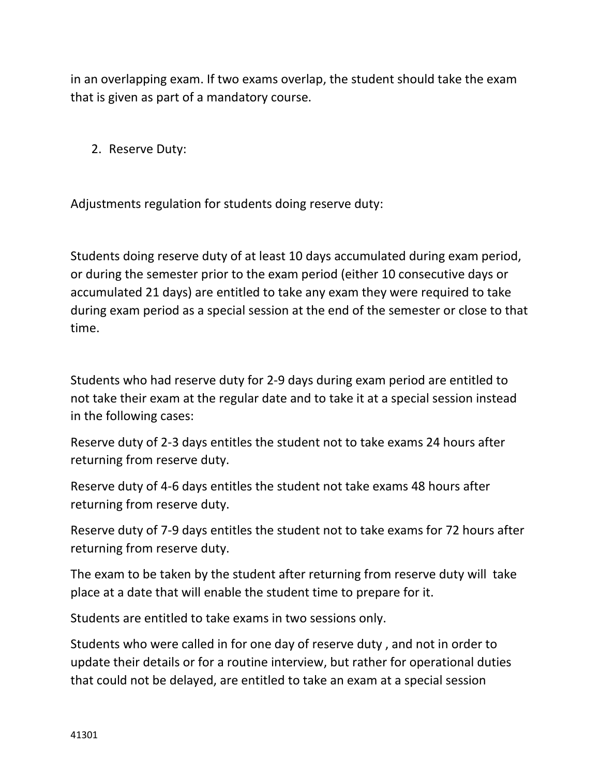in an overlapping exam. If two exams overlap, the student should take the exam that is given as part of a mandatory course.

2. Reserve Duty:

Adjustments regulation for students doing reserve duty:

Students doing reserve duty of at least 10 days accumulated during exam period, or during the semester prior to the exam period (either 10 consecutive days or accumulated 21 days) are entitled to take any exam they were required to take during exam period as a special session at the end of the semester or close to that time.

Students who had reserve duty for 2-9 days during exam period are entitled to not take their exam at the regular date and to take it at a special session instead in the following cases:

Reserve duty of 2-3 days entitles the student not to take exams 24 hours after returning from reserve duty.

Reserve duty of 4-6 days entitles the student not take exams 48 hours after returning from reserve duty.

Reserve duty of 7-9 days entitles the student not to take exams for 72 hours after returning from reserve duty.

The exam to be taken by the student after returning from reserve duty will take place at a date that will enable the student time to prepare for it.

Students are entitled to take exams in two sessions only.

Students who were called in for one day of reserve duty , and not in order to update their details or for a routine interview, but rather for operational duties that could not be delayed, are entitled to take an exam at a special session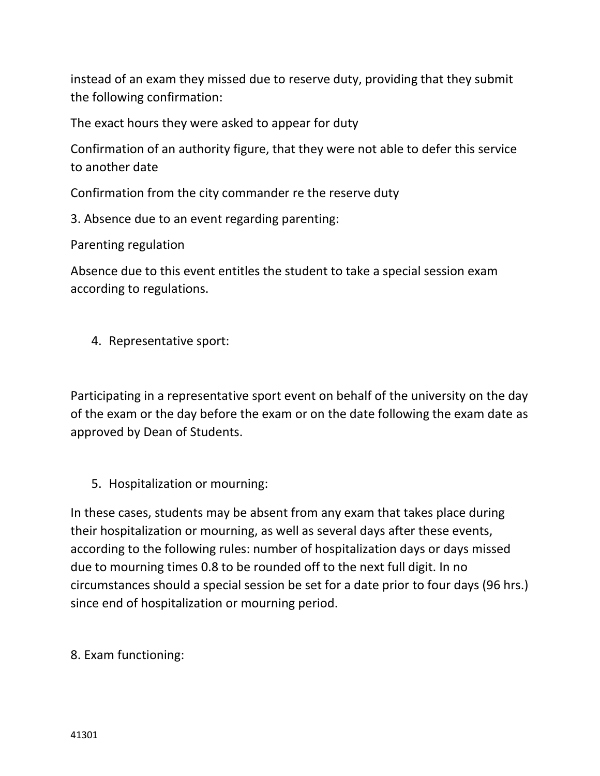instead of an exam they missed due to reserve duty, providing that they submit the following confirmation:

The exact hours they were asked to appear for duty

Confirmation of an authority figure, that they were not able to defer this service to another date

Confirmation from the city commander re the reserve duty

3. Absence due to an event regarding parenting:

Parenting regulation

Absence due to this event entitles the student to take a special session exam according to regulations.

4. Representative sport:

Participating in a representative sport event on behalf of the university on the day of the exam or the day before the exam or on the date following the exam date as approved by Dean of Students.

5. Hospitalization or mourning:

In these cases, students may be absent from any exam that takes place during their hospitalization or mourning, as well as several days after these events, according to the following rules: number of hospitalization days or days missed due to mourning times 0.8 to be rounded off to the next full digit. In no circumstances should a special session be set for a date prior to four days (96 hrs.) since end of hospitalization or mourning period.

8. Exam functioning: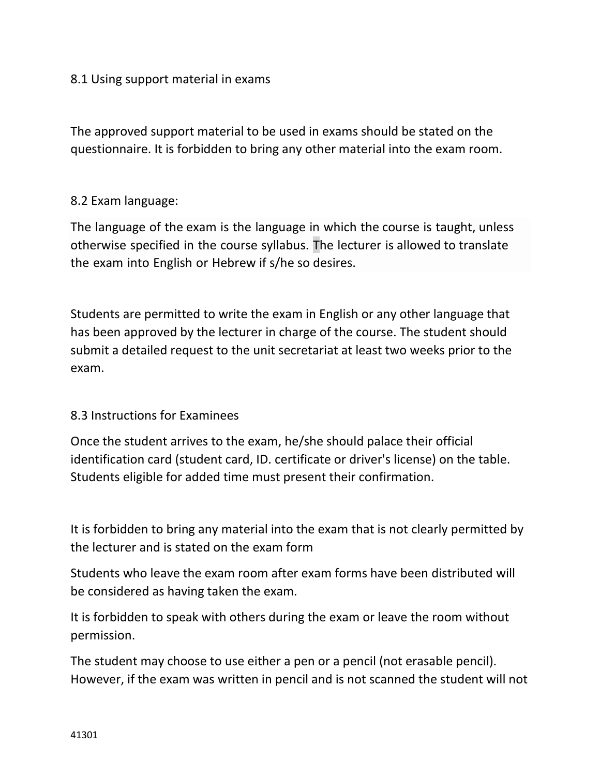### 8.1 Using support material in exams

The approved support material to be used in exams should be stated on the questionnaire. It is forbidden to bring any other material into the exam room.

### 8.2 Exam language:

The language of the exam is the language in which the course is taught, unless otherwise specified in the course syllabus. The lecturer is allowed to translate the exam into English or Hebrew if s/he so desires.

Students are permitted to write the exam in English or any other language that has been approved by the lecturer in charge of the course. The student should submit a detailed request to the unit secretariat at least two weeks prior to the exam.

#### 8.3 Instructions for Examinees

Once the student arrives to the exam, he/she should palace their official identification card (student card, ID. certificate or driver's license) on the table. Students eligible for added time must present their confirmation.

It is forbidden to bring any material into the exam that is not clearly permitted by the lecturer and is stated on the exam form

Students who leave the exam room after exam forms have been distributed will be considered as having taken the exam.

It is forbidden to speak with others during the exam or leave the room without permission.

The student may choose to use either a pen or a pencil (not erasable pencil). However, if the exam was written in pencil and is not scanned the student will not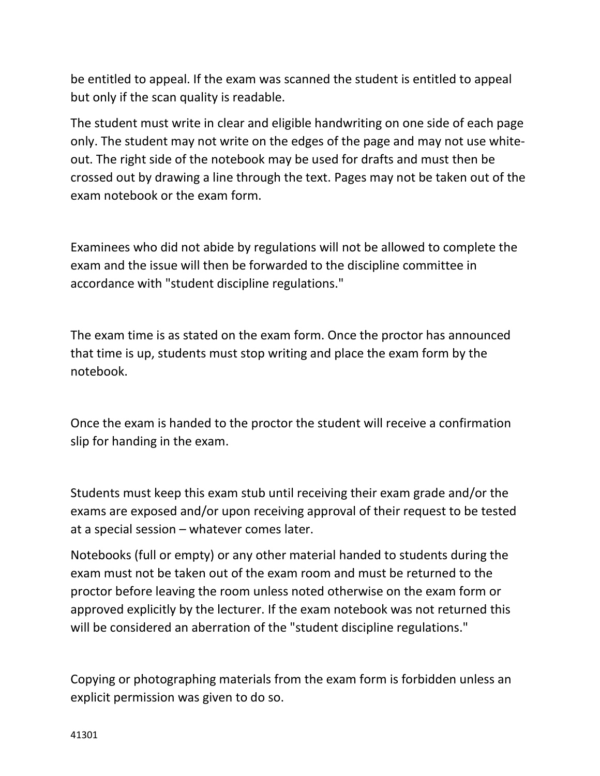be entitled to appeal. If the exam was scanned the student is entitled to appeal but only if the scan quality is readable.

The student must write in clear and eligible handwriting on one side of each page only. The student may not write on the edges of the page and may not use whiteout. The right side of the notebook may be used for drafts and must then be crossed out by drawing a line through the text. Pages may not be taken out of the exam notebook or the exam form.

Examinees who did not abide by regulations will not be allowed to complete the exam and the issue will then be forwarded to the discipline committee in accordance with "student discipline regulations."

The exam time is as stated on the exam form. Once the proctor has announced that time is up, students must stop writing and place the exam form by the notebook.

Once the exam is handed to the proctor the student will receive a confirmation slip for handing in the exam.

Students must keep this exam stub until receiving their exam grade and/or the exams are exposed and/or upon receiving approval of their request to be tested at a special session – whatever comes later.

Notebooks (full or empty) or any other material handed to students during the exam must not be taken out of the exam room and must be returned to the proctor before leaving the room unless noted otherwise on the exam form or approved explicitly by the lecturer. If the exam notebook was not returned this will be considered an aberration of the "student discipline regulations."

Copying or photographing materials from the exam form is forbidden unless an explicit permission was given to do so.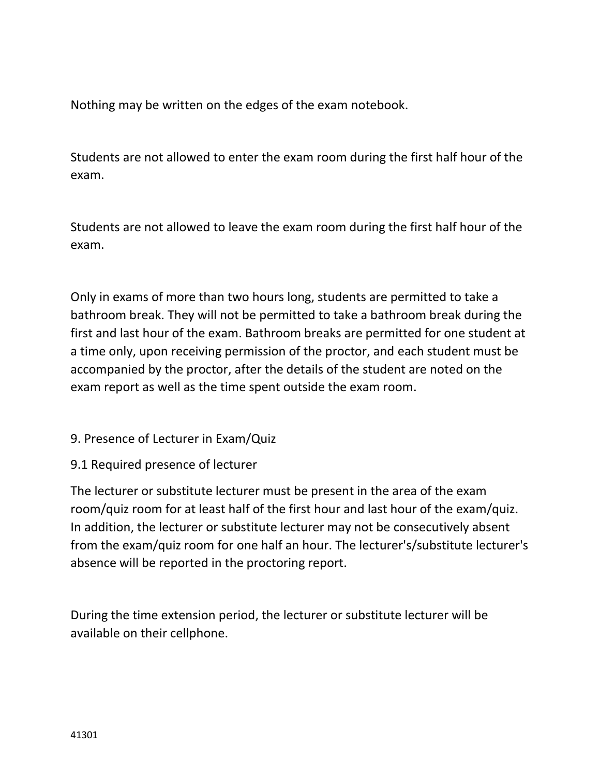Nothing may be written on the edges of the exam notebook.

Students are not allowed to enter the exam room during the first half hour of the exam.

Students are not allowed to leave the exam room during the first half hour of the exam.

Only in exams of more than two hours long, students are permitted to take a bathroom break. They will not be permitted to take a bathroom break during the first and last hour of the exam. Bathroom breaks are permitted for one student at a time only, upon receiving permission of the proctor, and each student must be accompanied by the proctor, after the details of the student are noted on the exam report as well as the time spent outside the exam room.

# 9. Presence of Lecturer in Exam/Quiz

9.1 Required presence of lecturer

The lecturer or substitute lecturer must be present in the area of the exam room/quiz room for at least half of the first hour and last hour of the exam/quiz. In addition, the lecturer or substitute lecturer may not be consecutively absent from the exam/quiz room for one half an hour. The lecturer's/substitute lecturer's absence will be reported in the proctoring report.

During the time extension period, the lecturer or substitute lecturer will be available on their cellphone.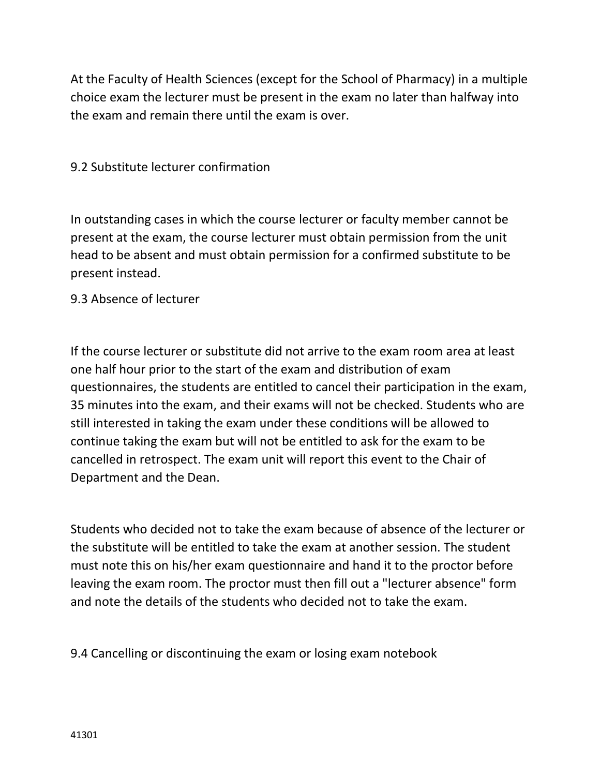At the Faculty of Health Sciences (except for the School of Pharmacy) in a multiple choice exam the lecturer must be present in the exam no later than halfway into the exam and remain there until the exam is over.

9.2 Substitute lecturer confirmation

In outstanding cases in which the course lecturer or faculty member cannot be present at the exam, the course lecturer must obtain permission from the unit head to be absent and must obtain permission for a confirmed substitute to be present instead.

9.3 Absence of lecturer

If the course lecturer or substitute did not arrive to the exam room area at least one half hour prior to the start of the exam and distribution of exam questionnaires, the students are entitled to cancel their participation in the exam, 35 minutes into the exam, and their exams will not be checked. Students who are still interested in taking the exam under these conditions will be allowed to continue taking the exam but will not be entitled to ask for the exam to be cancelled in retrospect. The exam unit will report this event to the Chair of Department and the Dean.

Students who decided not to take the exam because of absence of the lecturer or the substitute will be entitled to take the exam at another session. The student must note this on his/her exam questionnaire and hand it to the proctor before leaving the exam room. The proctor must then fill out a "lecturer absence" form and note the details of the students who decided not to take the exam.

9.4 Cancelling or discontinuing the exam or losing exam notebook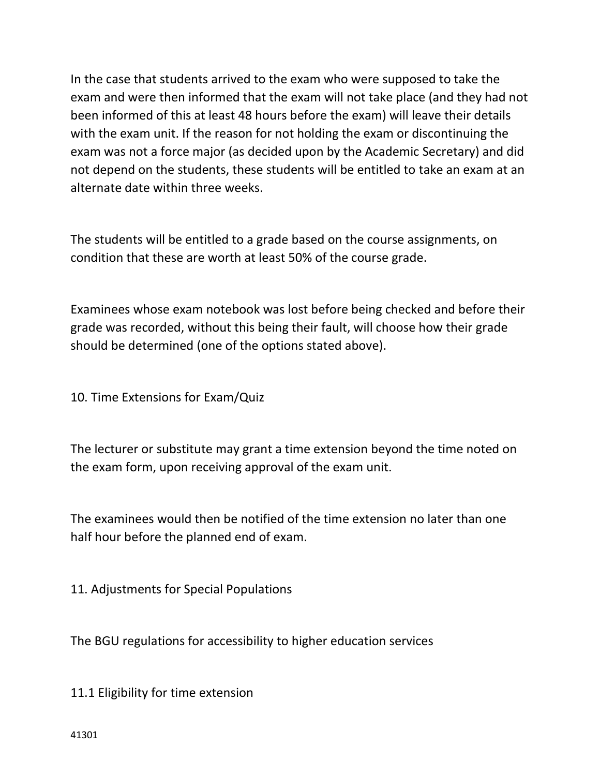In the case that students arrived to the exam who were supposed to take the exam and were then informed that the exam will not take place (and they had not been informed of this at least 48 hours before the exam) will leave their details with the exam unit. If the reason for not holding the exam or discontinuing the exam was not a force major (as decided upon by the Academic Secretary) and did not depend on the students, these students will be entitled to take an exam at an alternate date within three weeks.

The students will be entitled to a grade based on the course assignments, on condition that these are worth at least 50% of the course grade.

Examinees whose exam notebook was lost before being checked and before their grade was recorded, without this being their fault, will choose how their grade should be determined (one of the options stated above).

10. Time Extensions for Exam/Quiz

The lecturer or substitute may grant a time extension beyond the time noted on the exam form, upon receiving approval of the exam unit.

The examinees would then be notified of the time extension no later than one half hour before the planned end of exam.

11. Adjustments for Special Populations

The BGU regulations for accessibility to higher education services

11.1 Eligibility for time extension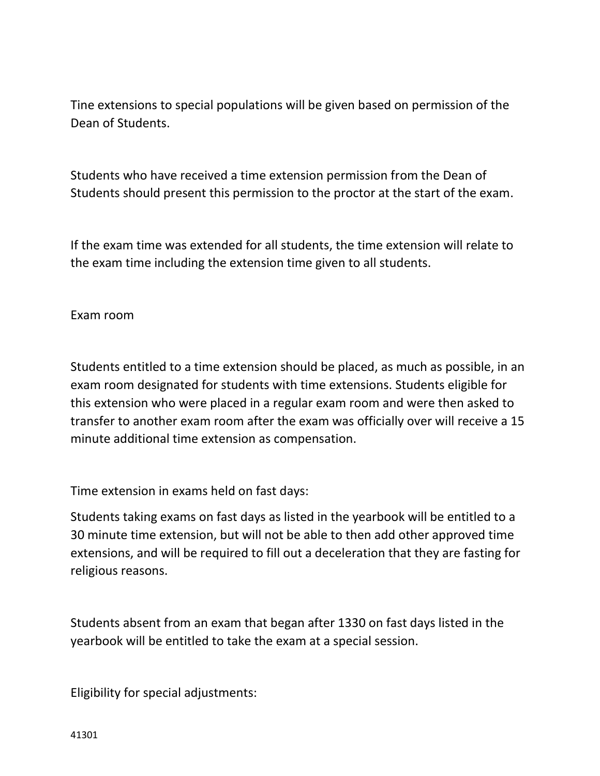Tine extensions to special populations will be given based on permission of the Dean of Students.

Students who have received a time extension permission from the Dean of Students should present this permission to the proctor at the start of the exam.

If the exam time was extended for all students, the time extension will relate to the exam time including the extension time given to all students.

Exam room

Students entitled to a time extension should be placed, as much as possible, in an exam room designated for students with time extensions. Students eligible for this extension who were placed in a regular exam room and were then asked to transfer to another exam room after the exam was officially over will receive a 15 minute additional time extension as compensation.

Time extension in exams held on fast days:

Students taking exams on fast days as listed in the yearbook will be entitled to a 30 minute time extension, but will not be able to then add other approved time extensions, and will be required to fill out a deceleration that they are fasting for religious reasons.

Students absent from an exam that began after 1330 on fast days listed in the yearbook will be entitled to take the exam at a special session.

Eligibility for special adjustments: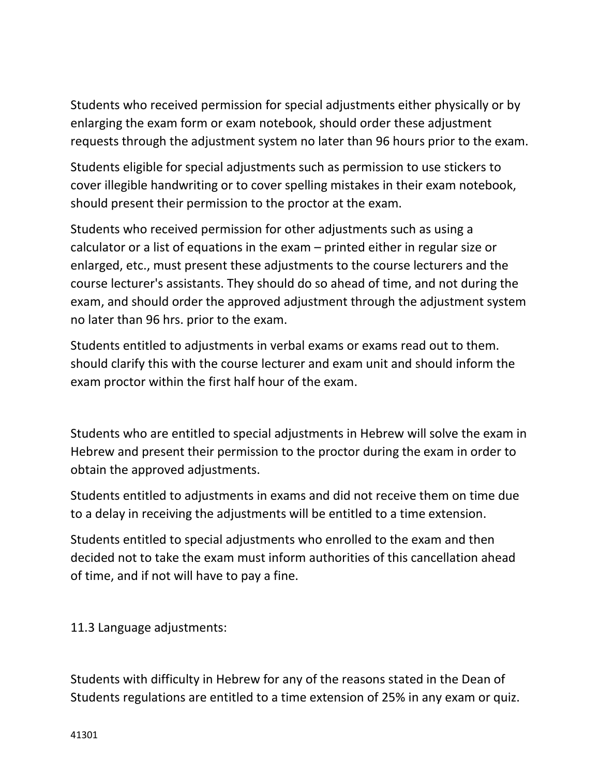Students who received permission for special adjustments either physically or by enlarging the exam form or exam notebook, should order these adjustment requests through the adjustment system no later than 96 hours prior to the exam.

Students eligible for special adjustments such as permission to use stickers to cover illegible handwriting or to cover spelling mistakes in their exam notebook, should present their permission to the proctor at the exam.

Students who received permission for other adjustments such as using a calculator or a list of equations in the exam – printed either in regular size or enlarged, etc., must present these adjustments to the course lecturers and the course lecturer's assistants. They should do so ahead of time, and not during the exam, and should order the approved adjustment through the adjustment system no later than 96 hrs. prior to the exam.

Students entitled to adjustments in verbal exams or exams read out to them. should clarify this with the course lecturer and exam unit and should inform the exam proctor within the first half hour of the exam.

Students who are entitled to special adjustments in Hebrew will solve the exam in Hebrew and present their permission to the proctor during the exam in order to obtain the approved adjustments.

Students entitled to adjustments in exams and did not receive them on time due to a delay in receiving the adjustments will be entitled to a time extension.

Students entitled to special adjustments who enrolled to the exam and then decided not to take the exam must inform authorities of this cancellation ahead of time, and if not will have to pay a fine.

11.3 Language adjustments:

Students with difficulty in Hebrew for any of the reasons stated in the Dean of Students regulations are entitled to a time extension of 25% in any exam or quiz.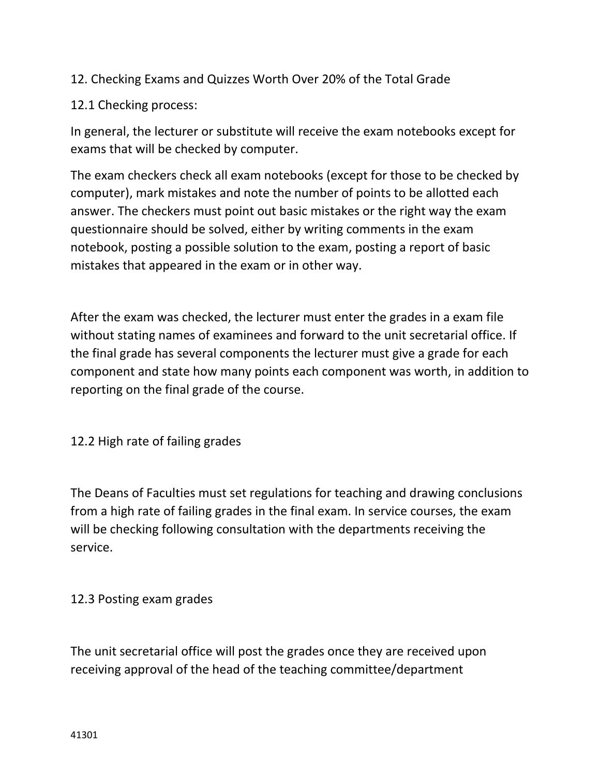# 12. Checking Exams and Quizzes Worth Over 20% of the Total Grade

### 12.1 Checking process:

In general, the lecturer or substitute will receive the exam notebooks except for exams that will be checked by computer.

The exam checkers check all exam notebooks (except for those to be checked by computer), mark mistakes and note the number of points to be allotted each answer. The checkers must point out basic mistakes or the right way the exam questionnaire should be solved, either by writing comments in the exam notebook, posting a possible solution to the exam, posting a report of basic mistakes that appeared in the exam or in other way.

After the exam was checked, the lecturer must enter the grades in a exam file without stating names of examinees and forward to the unit secretarial office. If the final grade has several components the lecturer must give a grade for each component and state how many points each component was worth, in addition to reporting on the final grade of the course.

12.2 High rate of failing grades

The Deans of Faculties must set regulations for teaching and drawing conclusions from a high rate of failing grades in the final exam. In service courses, the exam will be checking following consultation with the departments receiving the service.

#### 12.3 Posting exam grades

The unit secretarial office will post the grades once they are received upon receiving approval of the head of the teaching committee/department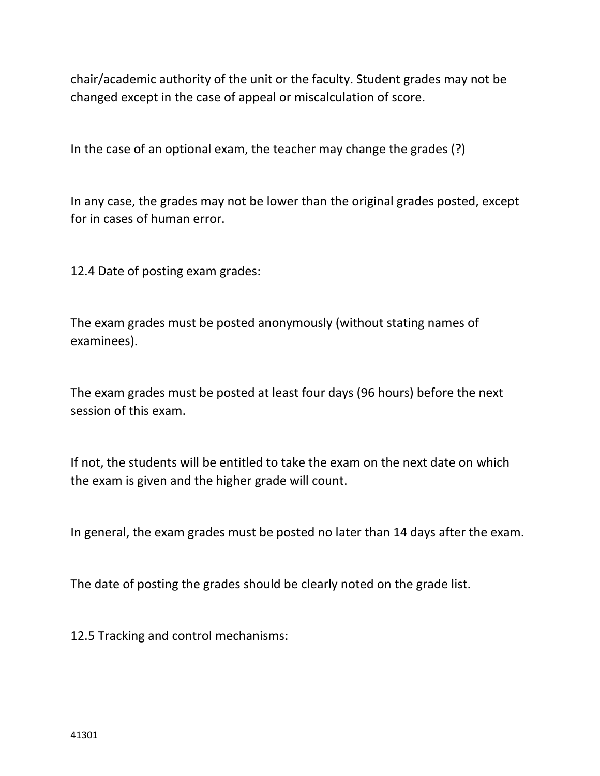chair/academic authority of the unit or the faculty. Student grades may not be changed except in the case of appeal or miscalculation of score.

In the case of an optional exam, the teacher may change the grades (?)

In any case, the grades may not be lower than the original grades posted, except for in cases of human error.

12.4 Date of posting exam grades:

The exam grades must be posted anonymously (without stating names of examinees).

The exam grades must be posted at least four days (96 hours) before the next session of this exam.

If not, the students will be entitled to take the exam on the next date on which the exam is given and the higher grade will count.

In general, the exam grades must be posted no later than 14 days after the exam.

The date of posting the grades should be clearly noted on the grade list.

12.5 Tracking and control mechanisms: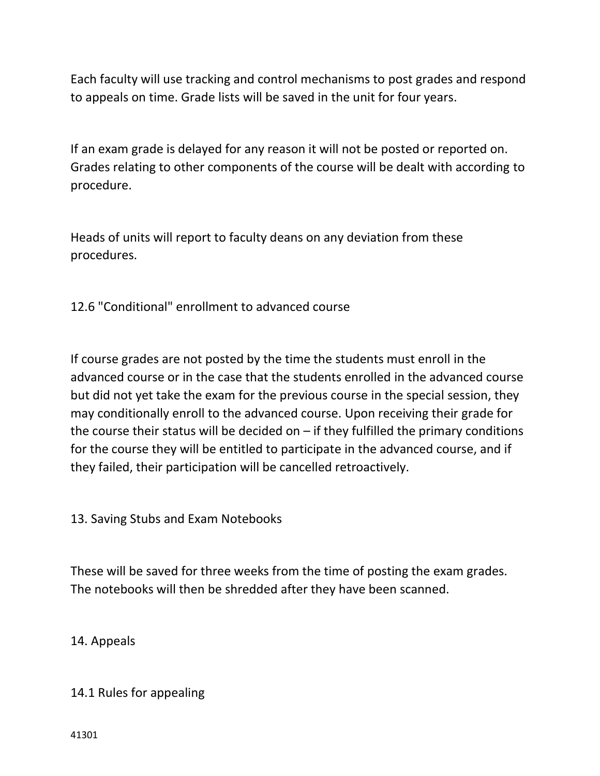Each faculty will use tracking and control mechanisms to post grades and respond to appeals on time. Grade lists will be saved in the unit for four years.

If an exam grade is delayed for any reason it will not be posted or reported on. Grades relating to other components of the course will be dealt with according to procedure.

Heads of units will report to faculty deans on any deviation from these procedures.

12.6 "Conditional" enrollment to advanced course

If course grades are not posted by the time the students must enroll in the advanced course or in the case that the students enrolled in the advanced course but did not yet take the exam for the previous course in the special session, they may conditionally enroll to the advanced course. Upon receiving their grade for the course their status will be decided on  $-$  if they fulfilled the primary conditions for the course they will be entitled to participate in the advanced course, and if they failed, their participation will be cancelled retroactively.

13. Saving Stubs and Exam Notebooks

These will be saved for three weeks from the time of posting the exam grades. The notebooks will then be shredded after they have been scanned.

14. Appeals

14.1 Rules for appealing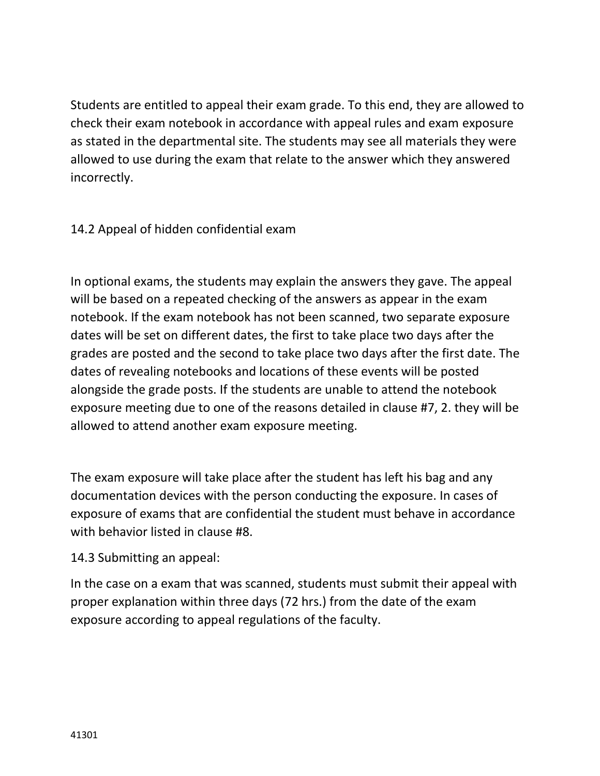Students are entitled to appeal their exam grade. To this end, they are allowed to check their exam notebook in accordance with appeal rules and exam exposure as stated in the departmental site. The students may see all materials they were allowed to use during the exam that relate to the answer which they answered incorrectly.

14.2 Appeal of hidden confidential exam

In optional exams, the students may explain the answers they gave. The appeal will be based on a repeated checking of the answers as appear in the exam notebook. If the exam notebook has not been scanned, two separate exposure dates will be set on different dates, the first to take place two days after the grades are posted and the second to take place two days after the first date. The dates of revealing notebooks and locations of these events will be posted alongside the grade posts. If the students are unable to attend the notebook exposure meeting due to one of the reasons detailed in clause #7, 2. they will be allowed to attend another exam exposure meeting.

The exam exposure will take place after the student has left his bag and any documentation devices with the person conducting the exposure. In cases of exposure of exams that are confidential the student must behave in accordance with behavior listed in clause #8.

14.3 Submitting an appeal:

In the case on a exam that was scanned, students must submit their appeal with proper explanation within three days (72 hrs.) from the date of the exam exposure according to appeal regulations of the faculty.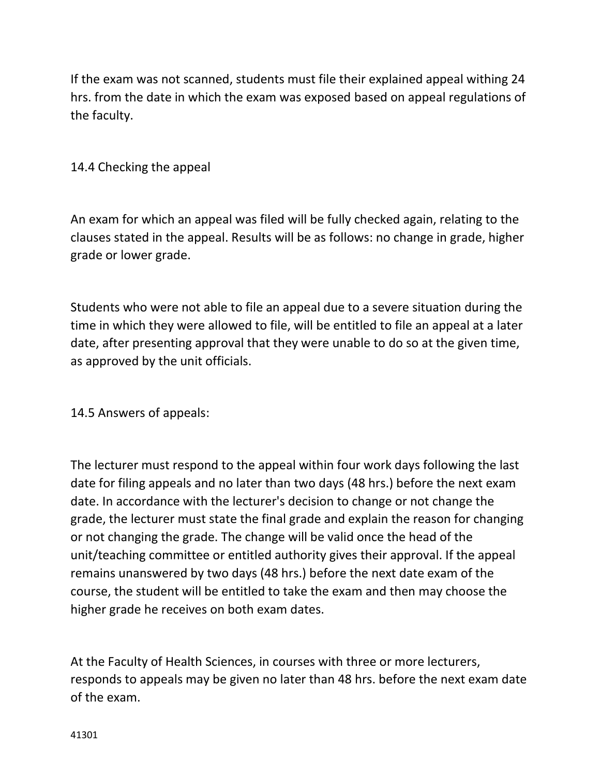If the exam was not scanned, students must file their explained appeal withing 24 hrs. from the date in which the exam was exposed based on appeal regulations of the faculty.

# 14.4 Checking the appeal

An exam for which an appeal was filed will be fully checked again, relating to the clauses stated in the appeal. Results will be as follows: no change in grade, higher grade or lower grade.

Students who were not able to file an appeal due to a severe situation during the time in which they were allowed to file, will be entitled to file an appeal at a later date, after presenting approval that they were unable to do so at the given time, as approved by the unit officials.

#### 14.5 Answers of appeals:

The lecturer must respond to the appeal within four work days following the last date for filing appeals and no later than two days (48 hrs.) before the next exam date. In accordance with the lecturer's decision to change or not change the grade, the lecturer must state the final grade and explain the reason for changing or not changing the grade. The change will be valid once the head of the unit/teaching committee or entitled authority gives their approval. If the appeal remains unanswered by two days (48 hrs.) before the next date exam of the course, the student will be entitled to take the exam and then may choose the higher grade he receives on both exam dates.

At the Faculty of Health Sciences, in courses with three or more lecturers, responds to appeals may be given no later than 48 hrs. before the next exam date of the exam.